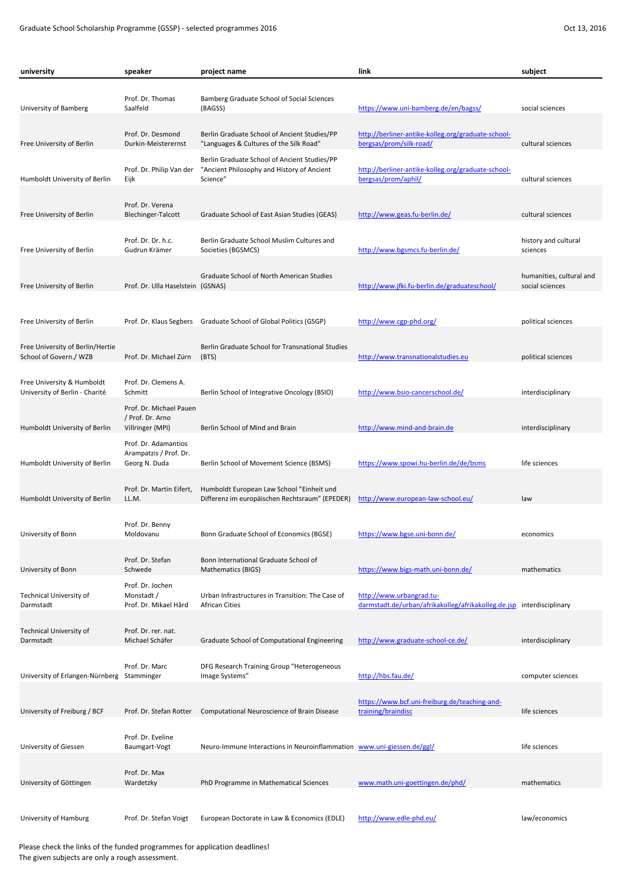| university                                                   | speaker                                                         | project name                                                                                           | link                                                                          | subject                                     |
|--------------------------------------------------------------|-----------------------------------------------------------------|--------------------------------------------------------------------------------------------------------|-------------------------------------------------------------------------------|---------------------------------------------|
| University of Bamberg                                        | Prof. Dr. Thomas<br>Saalfeld                                    | Bamberg Graduate School of Social Sciences<br>(BAGSS)                                                  | https://www.uni-bamberg.de/en/bagss/                                          | social sciences                             |
| Free University of Berlin                                    | Prof. Dr. Desmond<br>Durkin-Meisterernst                        | Berlin Graduate School of Ancient Studies/PP<br>"Languages & Cultures of the Silk Road"                | http://berliner-antike-kolleg.org/graduate-school-<br>bergsas/prom/silk-road/ | cultural sciences                           |
| Humboldt University of Berlin                                | Prof. Dr. Philip Van der<br>Eijk                                | Berlin Graduate School of Ancient Studies/PP<br>"Ancient Philosophy and History of Ancient<br>Science" | http://berliner-antike-kolleg.org/graduate-school-<br>bergsas/prom/aphil/     | cultural sciences                           |
| Free University of Berlin                                    | Prof. Dr. Verena<br><b>Blechinger-Talcott</b>                   | Graduate School of East Asian Studies (GEAS)                                                           | http://www.geas.fu-berlin.de/                                                 | cultural sciences                           |
| Free University of Berlin                                    | Prof. Dr. Dr. h.c.<br>Gudrun Krämer                             | Berlin Graduate School Muslim Cultures and<br>Societies (BGSMCS)                                       | http://www.bgsmcs.fu-berlin.de/                                               | history and cultural<br>sciences            |
| Free University of Berlin                                    | Prof. Dr. Ulla Haselstein (GSNAS)                               | Graduate School of North American Studies                                                              | http://www.jfki.fu-berlin.de/graduateschool/                                  | humanities, cultural and<br>social sciences |
| Free University of Berlin                                    |                                                                 | Prof. Dr. Klaus Segbers Graduate School of Global Politics (GSGP)                                      | http://www.cgp-phd.org/                                                       | political sciences                          |
| Free University of Berlin/Hertie<br>School of Govern./ WZB   | Prof. Dr. Michael Zürn                                          | Berlin Graduate School for Transnational Studies<br>(BTS)                                              | http://www.transnationalstudies.eu                                            | political sciences                          |
| Free University & Humboldt<br>University of Berlin - Charité | Prof. Dr. Clemens A.<br>Schmitt                                 | Berlin School of Integrative Oncology (BSIO)                                                           | http://www.bsio-cancerschool.de/                                              | interdisciplinary                           |
| Humboldt University of Berlin                                | Prof. Dr. Michael Pauen<br>/ Prof. Dr. Arno<br>Villringer (MPI) | Berlin School of Mind and Brain                                                                        | http://www.mind-and-brain.de                                                  | interdisciplinary                           |
|                                                              | Prof. Dr. Adamantios<br>Arampatzis / Prof. Dr.                  |                                                                                                        |                                                                               |                                             |
| Humboldt University of Berlin                                | Georg N. Duda<br>Prof. Dr. Martin Eifert,                       | Berlin School of Movement Science (BSMS)<br>Humboldt European Law School "Einheit und                  | https://www.spowi.hu-berlin.de/de/bsms                                        | life sciences                               |
| Humboldt University of Berlin                                | LL.M.<br>Prof. Dr. Benny                                        | Differenz im europäischen Rechtsraum" (EPEDER)                                                         | http://www.european-law-school.eu/                                            | law                                         |
| University of Bonn                                           | Moldovanu<br>Prof. Dr. Stefan                                   | Bonn Graduate School of Economics (BGSE)<br>Bonn International Graduate School of                      | https://www.bgse.uni-bonn.de/                                                 | economics                                   |
| University of Bonn<br><b>Technical University of</b>         | Schwede<br>Prof. Dr. Jochen<br>Monstadt /                       | Mathematics (BIGS)<br>Urban Infrastructures in Transition: The Case of                                 | https://www.bigs-math.uni-bonn.de/<br>http://www.urbangrad.tu-                | mathematics                                 |
| Darmstadt                                                    | Prof. Dr. Mikael Hård                                           | <b>African Cities</b>                                                                                  | darmstadt.de/urban/afrikakolleg/afrikakolleg.de.jsp interdisciplinary         |                                             |
| Technical University of<br>Darmstadt                         | Prof. Dr. rer. nat.<br>Michael Schäfer                          | Graduate School of Computational Engineering                                                           | http://www.graduate-school-ce.de/                                             | interdisciplinary                           |
| University of Erlangen-Nürnberg                              | Prof. Dr. Marc<br>Stamminger                                    | DFG Research Training Group "Heterogeneous<br>Image Systems"                                           | http://hbs.fau.de/                                                            | computer sciences                           |
| University of Freiburg / BCF                                 | Prof. Dr. Stefan Rotter                                         | Computational Neuroscience of Brain Disease                                                            | https://www.bcf.uni-freiburg.de/teaching-and-<br>training/braindisc           | life sciences                               |
| University of Giessen                                        | Prof. Dr. Eveline<br>Baumgart-Vogt                              | Neuro-Immune Interactions in Neuroinflammation www.uni-giessen.de/ggl/                                 |                                                                               | life sciences                               |
| University of Göttingen                                      | Prof. Dr. Max<br>Wardetzky                                      | PhD Programme in Mathematical Sciences                                                                 | www.math.uni-goettingen.de/phd/                                               | mathematics                                 |
| University of Hamburg                                        | Prof. Dr. Stefan Voigt                                          | European Doctorate in Law & Economics (EDLE)                                                           | http://www.edle-phd.eu/                                                       | law/economics                               |

Please check the links of the funded programmes for application deadlines! The given subjects are only a rough assessment.